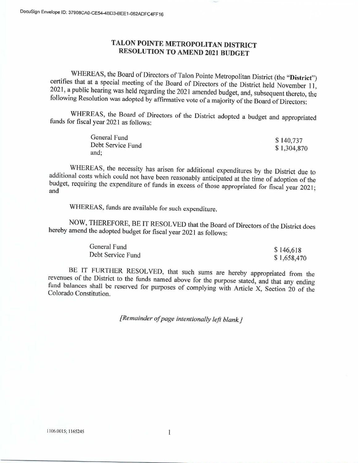# TALON POINTE METROPOLITAN DISTRICT **RESOLUTION TO AMEND 2021 BUDGET**

WHEREAS, the Board of Directors of Talon Pointe Metropolitan District (the "District") certifies that at a special meeting of the Board of Directors of the District held November 11, 2021, a public hearing was held regarding the 2021 amended budget, and, subsequent thereto, the following Resolution was adopted by affirmative vote of a majority of the Board of Directors:

WHEREAS, the Board of Directors of the District adopted a budget and appropriated funds for fiscal year 2021 as follows:

| General Fund      | \$140,737   |
|-------------------|-------------|
| Debt Service Fund | \$1,304,870 |
| and;              |             |

WHEREAS, the necessity has arisen for additional expenditures by the District due to additional costs which could not have been reasonably anticipated at the time of adoption of the budget, requiring the expenditure of funds in excess of those appropriated for fiscal year 2021; and

WHEREAS, funds are available for such expenditure.

NOW, THEREFORE, BE IT RESOLVED that the Board of Directors of the District does hereby amend the adopted budget for fiscal year 2021 as follows:

| General Fund      | \$146,618   |
|-------------------|-------------|
|                   |             |
| Debt Service Fund | \$1,658,470 |

BE IT FURTHER RESOLVED, that such sums are hereby appropriated from the revenues of the District to the funds named above for the purpose stated, and that any ending fund balances shall be reserved for purposes of complying with Article X, Section 20 of the Colorado Constitution.

[Remainder of page intentionally left blank.]

 $\mathbf{1}$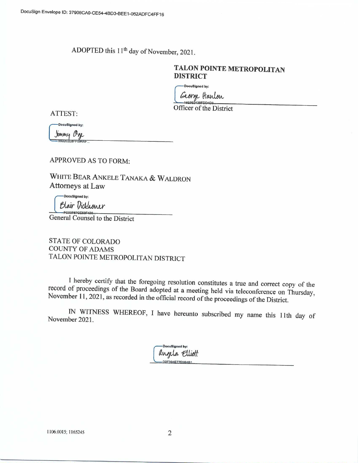ADOPTED this 11<sup>th</sup> day of November, 2021.

# TALON POINTE METROPOLITAN **DISTRICT**

DocuSigned by:

George Hanton

Officer of the District

ATTEST:

DocuSigned by:

Jimmy Oge<br>======================

APPROVED AS TO FORM:

WHITE BEAR ANKELE TANAKA & WALDRON Attorneys at Law

DocuSigned by: Blair Dickhoner

General Counsel to the District

**STATE OF COLORADO COUNTY OF ADAMS** TALON POINTE METROPOLITAN DISTRICT

I hereby certify that the foregoing resolution constitutes a true and correct copy of the record of proceedings of the Board adopted at a meeting held via teleconference on Thursday, November 11, 2021, as recorded in the official record of the proceedings of the District.

IN WITNESS WHEREOF, I have hereunto subscribed my name this 11th day of November 2021.

> DocuSigned by: angela Elliott D2F394E77E9B4B1

1106.0015; 1165245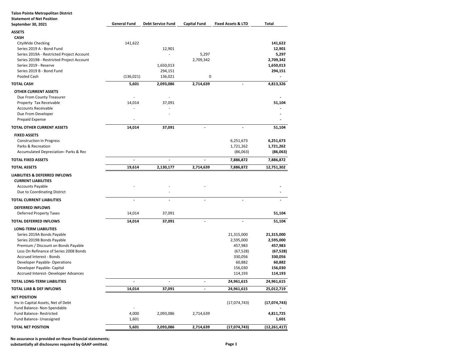| <b>Talon Pointe Metropolitan District</b>              |                          |                          |                          |                               |                |
|--------------------------------------------------------|--------------------------|--------------------------|--------------------------|-------------------------------|----------------|
| <b>Statement of Net Position</b><br>September 30, 2021 | <b>General Fund</b>      | <b>Debt Service Fund</b> | <b>Capital Fund</b>      | <b>Fixed Assets &amp; LTD</b> | Total          |
|                                                        |                          |                          |                          |                               |                |
| <b>ASSETS</b><br><b>CASH</b>                           |                          |                          |                          |                               |                |
| CityWide Checking                                      | 141,622                  |                          |                          |                               | 141,622        |
| Series 2019 A - Bond Fund                              |                          | 12,901                   |                          |                               | 12,901         |
| Series 2019A - Restricted Project Account              |                          |                          | 5,297                    |                               | 5,297          |
| Series 2019B - Restricted Project Account              |                          |                          | 2,709,342                |                               | 2,709,342      |
| Series 2019 - Reserve                                  |                          | 1,650,013                |                          |                               | 1,650,013      |
| Series 2019 B - Bond Fund                              |                          | 294,151                  |                          |                               | 294,151        |
| Pooled Cash                                            | (136, 021)               | 136,021                  | 0                        |                               |                |
| <b>TOTAL CASH</b>                                      | 5,601                    | 2,093,086                | 2,714,639                |                               | 4,813,326      |
| <b>OTHER CURRENT ASSETS</b>                            |                          |                          |                          |                               |                |
| Due From County Treasurer                              |                          |                          |                          |                               |                |
| Property Tax Receivable                                | 14,014                   | 37,091                   |                          |                               | 51,104         |
| <b>Accounts Receivable</b>                             |                          |                          |                          |                               |                |
| Due From Developer                                     |                          |                          |                          |                               |                |
| Prepaid Expense                                        |                          |                          |                          |                               |                |
| TOTAL OTHER CURRENT ASSETS                             | 14,014                   | 37,091                   |                          |                               | 51,104         |
| <b>FIXED ASSETS</b>                                    |                          |                          |                          |                               |                |
| <b>Construction in Progress</b>                        |                          |                          |                          | 6,251,673                     | 6,251,673      |
| Parks & Recreation                                     |                          |                          |                          | 1,721,262                     | 1,721,262      |
| Accumulated Depreciation- Parks & Rec                  |                          |                          |                          | (86,063)                      | (86,063)       |
| TOTAL FIXED ASSETS                                     | $\ddot{\phantom{0}}$     | $\overline{\phantom{a}}$ | $\overline{a}$           | 7,886,872                     | 7,886,872      |
| <b>TOTAL ASSETS</b>                                    | 19,614                   | 2,130,177                | 2,714,639                | 7,886,872                     | 12,751,302     |
| <b>LIABILITIES &amp; DEFERRED INFLOWS</b>              |                          |                          |                          |                               |                |
| <b>CURRENT LIABILITIES</b>                             |                          |                          |                          |                               |                |
| <b>Accounts Payable</b>                                |                          |                          |                          |                               |                |
| Due to Coordinating District                           |                          |                          |                          |                               |                |
| TOTAL CURRENT LIABILITIES                              | $\blacksquare$           | $\overline{\phantom{a}}$ | $\overline{a}$           | $\overline{a}$                |                |
| <b>DEFERRED INFLOWS</b>                                |                          |                          |                          |                               |                |
| <b>Deferred Property Taxes</b>                         | 14,014                   | 37,091                   |                          |                               | 51,104         |
| <b>TOTAL DEFERRED INFLOWS</b>                          | 14,014                   | 37,091                   | $\overline{a}$           | $\overline{a}$                | 51,104         |
| <b>LONG-TERM LIABILITIES</b>                           |                          |                          |                          |                               |                |
| Series 2019A Bonds Payable                             |                          |                          |                          | 21,315,000                    | 21,315,000     |
| Series 2019B Bonds Payable                             |                          |                          |                          | 2,595,000                     | 2,595,000      |
| Premium / Discount on Bonds Payable                    |                          |                          |                          | 457,983                       | 457,983        |
| Loss On Refinance of Series 2008 Bonds                 |                          |                          |                          | (67, 528)                     | (67, 528)      |
| Accrued Interest - Bonds                               |                          |                          |                          | 330,056                       | 330,056        |
| Developer Payable- Operations                          |                          |                          |                          | 60,882                        | 60,882         |
| Developer Payable- Capital                             |                          |                          |                          | 156,030                       | 156,030        |
| Accrued Interest- Developer Advances                   |                          |                          |                          | 114,193                       | 114,193        |
| TOTAL LONG-TERM LIABILITIES                            |                          |                          |                          | 24,961,615                    | 24,961,615     |
| TOTAL LIAB & DEF INFLOWS                               | 14,014                   | 37,091                   | $\overline{\phantom{a}}$ | 24,961,615                    | 25,012,719     |
| <b>NET POSITION</b>                                    |                          |                          |                          |                               |                |
| Inv in Capital Assets, Net of Debt                     |                          |                          |                          | (17,074,743)                  | (17,074,743)   |
| Fund Balance- Non-Spendable                            | $\overline{\phantom{a}}$ |                          |                          |                               |                |
| Fund Balance-Restricted                                | 4,000                    | 2,093,086                | 2,714,639                |                               | 4,811,725      |
| Fund Balance- Unassigned                               | 1,601                    |                          |                          |                               | 1,601          |
| <b>TOTAL NET POSITION</b>                              | 5,601                    | 2,093,086                | 2,714,639                | (17, 074, 743)                | (12, 261, 417) |

**No assurance is provided on these financial statements;**

**substantially all disclosures required by GAAP omitted. Page 1**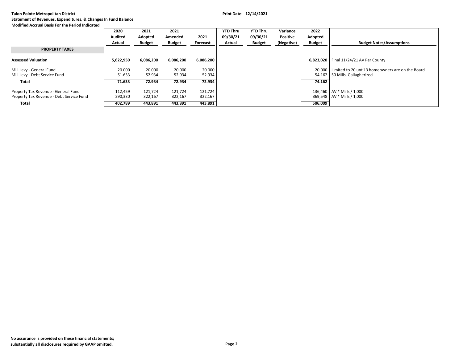|                                                                                 | 2020               | 2021               | 2021               |                    | <b>YTD Thru</b> | <b>YTD Thru</b> | Variance   | 2022          |                                                                                              |
|---------------------------------------------------------------------------------|--------------------|--------------------|--------------------|--------------------|-----------------|-----------------|------------|---------------|----------------------------------------------------------------------------------------------|
|                                                                                 | Audited            | Adopted            | Amended            | 2021               | 09/30/21        | 09/30/21        | Positive   | Adopted       |                                                                                              |
|                                                                                 | Actual             | <b>Budget</b>      | <b>Budget</b>      | Forecast           | Actual          | <b>Budget</b>   | (Negative) | <b>Budget</b> | <b>Budget Notes/Assumptions</b>                                                              |
| <b>PROPERTY TAXES</b>                                                           |                    |                    |                    |                    |                 |                 |            |               |                                                                                              |
| <b>Assessed Valuation</b>                                                       | 5,622,950          | 6,086,200          | 6,086,200          | 6,086,200          |                 |                 |            |               | 6,823,020   Final 11/24/21 AV Per County                                                     |
| Mill Levy - General Fund<br>Mill Levy - Debt Service Fund                       | 20.000<br>51.633   | 20.000<br>52.934   | 20.000<br>52.934   | 20.000<br>52.934   |                 |                 |            |               | 20,000 Limited to 20 until 3 homeowners are on the Board<br>54.162   50 Mills, Gallagherized |
| <b>Total</b>                                                                    | 71.633             | 72.934             | 72.934             | 72.934             |                 |                 |            | 74.162        |                                                                                              |
| Property Tax Revenue - General Fund<br>Property Tax Revenue - Debt Service Fund | 112,459<br>290,330 | 121,724<br>322,167 | 121.724<br>322,167 | 121,724<br>322,167 |                 |                 |            |               | 136,460   AV * Mills / 1,000<br>369,548   AV * Mills / 1,000                                 |
| <b>Total</b>                                                                    | 402.789            | 443,891            | 443,891            | 443,891            |                 |                 |            | 506,009       |                                                                                              |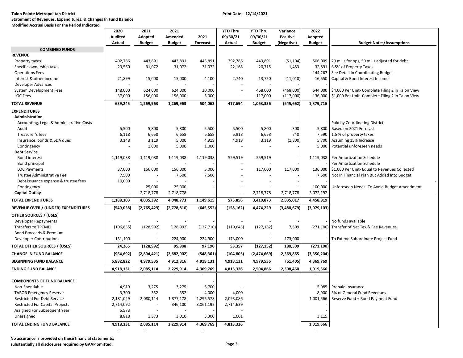## **Talon Pointe Metropolitan District Print Date: 12/14/2021 Statement of Revenues, Expenditures, & Changes In Fund Balance**

# **Modified Accrual Basis For the Period Indicated**

|                                                                      | 2020             | 2021             | 2021             |                  | <b>YTD Thru</b>  | <b>YTD Thru</b> | Variance    | 2022                  |                                                   |
|----------------------------------------------------------------------|------------------|------------------|------------------|------------------|------------------|-----------------|-------------|-----------------------|---------------------------------------------------|
|                                                                      | <b>Audited</b>   | Adopted          | Amended          | 2021             | 09/30/21         | 09/30/21        | Positive    | Adopted               |                                                   |
|                                                                      | Actual           | <b>Budget</b>    | <b>Budget</b>    | Forecast         | Actual           | <b>Budget</b>   | (Negative)  | <b>Budget</b>         | <b>Budget Notes/Assumptions</b>                   |
| <b>COMBINED FUNDS</b>                                                |                  |                  |                  |                  |                  |                 |             |                       |                                                   |
| <b>REVENUE</b>                                                       |                  |                  |                  |                  |                  |                 |             |                       |                                                   |
| Property taxes                                                       | 402,786          | 443,891          | 443,891          | 443,891          | 392,786          | 443,891         | (51, 104)   | 506,009               | 20 mills for ops, 50 mills adjusted for debt      |
| Specific ownership taxes                                             | 29,560           | 31,072           | 31,072           | 31,072           | 22,168           | 20,715          | 1,453       | 32,891                | 6.5% of Property Taxes                            |
| <b>Operations Fees</b>                                               |                  |                  |                  |                  |                  |                 |             | 144,267               | See Detail In Coordinating Budget                 |
| Interest & other income                                              | 21,899           | 15,000           | 15,000           | 4,100            | 2,740            | 13,750          | (11, 010)   | 16,550                | Capital & Bond Interest Income                    |
| Developer Advances                                                   |                  |                  |                  |                  |                  |                 |             |                       |                                                   |
| System Development Fees                                              | 148,000          | 624,000          | 624,000          | 20,000           | $\sim$           | 468,000         | (468,000)   | 544,000               | \$4,000 Per Unit- Complete Filing 2 in Talon View |
| LOC Fees                                                             | 37,000           | 156,000          | 156,000          | 5,000            | $\sim$           | 117,000         | (117,000)   | 136,000               | \$1,000 Per Unit- Complete Filing 2 in Talon View |
| <b>TOTAL REVENUE</b>                                                 | 639,245          | 1,269,963        | 1,269,963        | 504,063          | 417,694          | 1,063,356       | (645, 662)  | 1,379,716             |                                                   |
| <b>EXPENDITURES</b>                                                  |                  |                  |                  |                  |                  |                 |             |                       |                                                   |
| Administration                                                       |                  |                  |                  |                  |                  |                 |             |                       |                                                   |
| Accounting, Legal & Administrative Costs                             |                  |                  |                  |                  |                  |                 |             |                       | Paid by Coordinating District                     |
| Audit                                                                | 5,500            | 5,800            | 5,800            | 5,500            | 5,500            | 5,800           | 300         | 5,800                 | Based on 2021 Forecast                            |
| Treasurer's fees                                                     | 6,118            | 6,658            | 6,658            | 6,658            | 5,918            | 6,658           | 740         | 7,590                 | 1.5 % of property taxes                           |
| Insurance, bonds & SDA dues                                          | 3,148            | 3,119            | 5,000            | 4,919            | 4,919            | 3,119           | (1,800)     | 5,700                 | Assuming 15% Increase                             |
| Contingency                                                          |                  | 1,000            | 5,000            | 1,000            |                  |                 |             | 5,000                 | Potential unforeseen needs                        |
| <b>Debt Service</b>                                                  |                  |                  |                  |                  |                  |                 |             |                       |                                                   |
| <b>Bond interest</b>                                                 | 1,119,038        | 1,119,038        | 1,119,038        | 1,119,038        | 559,519          | 559,519         |             | 1,119,038             | Per Amortization Schedule                         |
| Bond principal                                                       |                  |                  |                  |                  |                  |                 |             |                       | Per Amortization Schedule                         |
| <b>LOC Payments</b>                                                  | 37,000           | 156,000          | 156,000          | 5,000            | ÷,               | 117,000         | 117,000     | 136,000               | \$1,000 Per Unit- Equal to Revenues Collected     |
| Trustee Administrative Fee                                           | 7,500            |                  | 7,500            | 7,500            |                  |                 |             | 7,500                 | Not In Financial Plan But Added Into Budget       |
| Debt issuance expense & trustee fees                                 | 10,000           |                  |                  |                  |                  |                 |             |                       |                                                   |
| Contingency                                                          |                  | 25,000           | 25,000           |                  |                  |                 |             | 100,000               | Unforeseen Needs- To Avoid Budget Amendment       |
| <b>Capital Outlay</b>                                                |                  | 2,718,778        | 2,718,778        |                  |                  | 2,718,778       | 2,718,778   | 3,072,192             |                                                   |
| <b>TOTAL EXPENDITURES</b>                                            | 1,188,303        | 4,035,392        | 4,048,773        | 1,149,615        | 575,856          | 3,410,873       | 2,835,017   | 4,458,819             |                                                   |
| REVENUE OVER / (UNDER) EXPENDITURES                                  | (549, 058)       | (2,765,429)      | (2,778,810)      | (645, 552)       | (158, 162)       | 4,474,229       | (3,480,679) | (3,079,103)           |                                                   |
| <b>OTHER SOURCES / (USES)</b>                                        |                  |                  |                  |                  |                  |                 |             |                       |                                                   |
| Developer Repayments                                                 |                  |                  |                  |                  |                  |                 |             |                       | No funds available                                |
| <b>Transfers to TPCMD</b>                                            | (106, 835)       | (128, 992)       | (128, 992)       | (127, 710)       | (119, 643)       | (127, 152)      | 7,509       |                       | (271,100) Transfer of Net Tax & Fee Revenues      |
| <b>Bond Proceeds &amp; Premium</b>                                   |                  |                  |                  |                  |                  |                 |             |                       |                                                   |
| <b>Developer Contributions</b>                                       | 131,100          |                  | 224,900          | 224,900          | 173,000          |                 | 173,000     |                       | To Extend Subordinate Project Fund                |
| <b>TOTAL OTHER SOURCES / (USES)</b>                                  | 24,265           | (128, 992)       | 95,908           | 97,190           | 53,357           | (127, 152)      | 180,509     | (271, 100)            |                                                   |
| <b>CHANGE IN FUND BALANCE</b>                                        | (964, 692)       | (2,894,421)      | (2,682,902)      | (548, 361)       | (104, 805)       | (2,474,669)     | 2,369,865   | (3,350,204)           |                                                   |
| <b>BEGINNING FUND BALANCE</b>                                        | 5,882,822        | 4,979,535        | 4,912,816        | 4,918,131        | 4,918,131        | 4,979,535       | (61, 405)   | 4,369,769             |                                                   |
| <b>ENDING FUND BALANCE</b>                                           | 4,918,131        | 2,085,114        | 2,229,914        | 4,369,769        | 4,813,326        | 2,504,866       | 2,308,460   | 1,019,566             |                                                   |
|                                                                      | $\equiv$         | $=$              | $\equiv$         | $\equiv$         | $\equiv$         | $\equiv$        | $=$         | $\equiv$              |                                                   |
| <b>COMPONENTS OF FUND BALANCE</b>                                    |                  |                  |                  |                  |                  |                 |             |                       |                                                   |
| Non-Spendable                                                        | 4,919<br>3,700   | 3,275<br>352     | 3,275<br>352     | 5,700<br>4,000   | 4,000            |                 |             | 5,985<br>8,900        | Prepaid Insurance<br>3% of General Fund Revenues  |
| <b>TABOR Emergency Reserve</b><br><b>Restricted For Debt Service</b> | 2,181,029        | 2,080,114        | 1,877,178        | 1,295,578        | 2,093,086        |                 |             | 1,001,566             | Reserve Fund + Bond Payment Fund                  |
| <b>Restricted For Capital Projects</b>                               | 2,714,092        |                  | 346,100          | 3,061,192        | 2,714,639        |                 |             |                       |                                                   |
| Assigned For Subsequent Year                                         | 5,573            |                  |                  |                  |                  |                 |             |                       |                                                   |
| Unassigned                                                           | 8,818            | 1,373            | 3,010            | 3,300            | 1,601            |                 |             | 3,115                 |                                                   |
|                                                                      |                  |                  |                  |                  |                  |                 |             |                       |                                                   |
| <b>TOTAL ENDING FUND BALANCE</b>                                     | 4,918,131<br>$=$ | 2,085,114<br>$=$ | 2,229,914<br>$=$ | 4,369,769<br>$=$ | 4,813,326<br>$=$ |                 |             | 1,019,566<br>$\equiv$ |                                                   |

**No assurance is provided on these financial statements;**

**substantially all disclosures required by GAAP omitted. Page 3**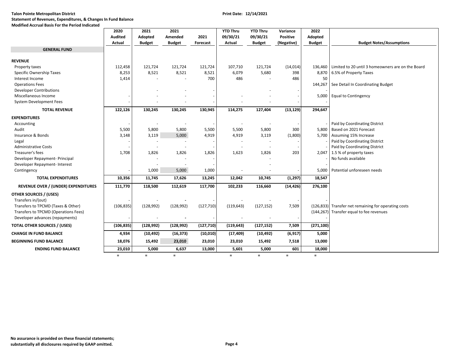# **Talon Pointe Metropolitan District Print Date: 12/14/2021 Statement of Revenues, Expenditures, & Changes In Fund Balance**

### **Modified Accrual Basis For the Period Indicated**

|                                            | 2020       | 2021          | 2021          |            | <b>YTD Thru</b> | <b>YTD Thru</b>          | Variance   | 2022          |                                                           |
|--------------------------------------------|------------|---------------|---------------|------------|-----------------|--------------------------|------------|---------------|-----------------------------------------------------------|
|                                            | Audited    | Adopted       | Amended       | 2021       | 09/30/21        | 09/30/21                 | Positive   | Adopted       |                                                           |
|                                            | Actual     | <b>Budget</b> | <b>Budget</b> | Forecast   | Actual          | <b>Budget</b>            | (Negative) | <b>Budget</b> | <b>Budget Notes/Assumptions</b>                           |
| <b>GENERAL FUND</b>                        |            |               |               |            |                 |                          |            |               |                                                           |
|                                            |            |               |               |            |                 |                          |            |               |                                                           |
| <b>REVENUE</b>                             |            |               |               |            |                 |                          |            |               |                                                           |
| Property taxes                             | 112,458    | 121,724       | 121,724       | 121,724    | 107,710         | 121,724                  | (14, 014)  |               | 136,460 Limited to 20 until 3 homeowners are on the Board |
| Specific Ownership Taxes                   | 8,253      | 8,521         | 8,521         | 8,521      | 6,079           | 5,680                    | 398        | 8,870         | 6.5% of Property Taxes                                    |
| Interest Income                            | 1,414      |               |               | 700        | 486             |                          | 486        | 50            |                                                           |
| <b>Operations Fees</b>                     |            |               |               |            |                 |                          |            | 144,267       | See Detail In Coordinating Budget                         |
| <b>Developer Contributions</b>             |            |               |               |            |                 |                          |            |               |                                                           |
| Miscellaneous Income                       |            |               |               |            |                 |                          |            | 5,000         | <b>Equal to Contingency</b>                               |
| System Development Fees                    |            |               |               |            |                 |                          |            |               |                                                           |
| <b>TOTAL REVENUE</b>                       | 122,126    | 130,245       | 130,245       | 130,945    | 114,275         | 127,404                  | (13, 129)  | 294,647       |                                                           |
| <b>EXPENDITURES</b>                        |            |               |               |            |                 |                          |            |               |                                                           |
| Accounting                                 |            |               |               |            |                 |                          |            |               | Paid by Coordinating District                             |
| Audit                                      | 5,500      | 5,800         | 5,800         | 5,500      | 5,500           | 5,800                    | 300        | 5,800         | Based on 2021 Forecast                                    |
| Insurance & Bonds                          | 3,148      | 3,119         | 5,000         | 4,919      | 4,919           | 3,119                    | (1,800)    |               | 5,700 Assuming 15% Increase                               |
| Legal                                      |            |               |               |            |                 |                          |            |               | Paid by Coordinating District                             |
| <b>Administrative Costs</b>                |            |               |               |            |                 | $\sim$                   |            |               | Paid by Coordinating District                             |
| Treasurer's fees                           | 1,708      | 1,826         | 1,826         | 1,826      | 1,623           | 1,826                    | 203        | 2,047         | 1.5 % of property taxes                                   |
| Developer Repayment- Principal             |            |               |               |            |                 |                          |            |               | No funds available                                        |
| Developer Repayment- Interest              |            |               |               |            |                 |                          |            |               |                                                           |
| Contingency                                |            | 1,000         | 5,000         | 1,000      |                 |                          |            | 5,000         | Potential unforeseen needs                                |
| <b>TOTAL EXPENDITURES</b>                  | 10,356     | 11,745        | 17,626        | 13,245     | 12,042          | 10,745                   | (1, 297)   | 18,547        |                                                           |
| <b>REVENUE OVER / (UNDER) EXPENDITURES</b> | 111,770    | 118,500       | 112,619       | 117,700    | 102,233         | 116,660                  | (14, 426)  | 276,100       |                                                           |
|                                            |            |               |               |            |                 |                          |            |               |                                                           |
| <b>OTHER SOURCES / (USES)</b>              |            |               |               |            |                 |                          |            |               |                                                           |
| Transfers in/(out)                         |            |               |               |            |                 |                          |            |               |                                                           |
| Transfers to TPCMD (Taxes & Other)         | (106, 835) | (128, 992)    | (128, 992)    | (127, 710) | (119, 643)      | (127, 152)               | 7,509      |               | (126,833) Transfer net remaining for operating costs      |
| Transfers to TPCMD (Operations Fees)       |            |               |               |            |                 |                          |            |               | (144,267) Transfer equal to fee revenues                  |
| Developer advances (repayments)            |            |               |               |            |                 | $\overline{\phantom{a}}$ |            |               |                                                           |
| <b>TOTAL OTHER SOURCES / (USES)</b>        | (106, 835) | (128, 992)    | (128, 992)    | (127, 710) | (119, 643)      | (127, 152)               | 7,509      | (271, 100)    |                                                           |
| <b>CHANGE IN FUND BALANCE</b>              | 4,934      | (10, 492)     | (16, 373)     | (10, 010)  | (17, 409)       | (10, 492)                | (6, 917)   | 5,000         |                                                           |
| <b>BEGINNING FUND BALANCE</b>              | 18,076     | 15,492        | 23,010        | 23,010     | 23,010          | 15,492                   | 7,518      | 13,000        |                                                           |
| <b>ENDING FUND BALANCE</b>                 | 23,010     | 5,000         | 6,637         | 13,000     | 5,601           | 5,000                    | 601        | 18,000        |                                                           |
|                                            | $=$        | $\equiv$      | $\equiv$      |            | $\equiv$        | $\equiv$                 | $\equiv$   | $\equiv$      |                                                           |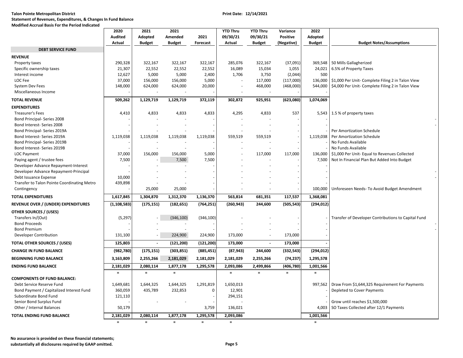**Modified Accrual Basis For the Period Indicated**

|                                             | 2020           | 2021          | 2021          |            | <b>YTD Thru</b>          | <b>YTD Thru</b> | Variance        | 2022          |                                                             |
|---------------------------------------------|----------------|---------------|---------------|------------|--------------------------|-----------------|-----------------|---------------|-------------------------------------------------------------|
|                                             | <b>Audited</b> | Adopted       | Amended       | 2021       | 09/30/21                 | 09/30/21        | <b>Positive</b> | Adopted       |                                                             |
|                                             | Actual         | <b>Budget</b> | <b>Budget</b> | Forecast   | Actual                   | <b>Budget</b>   | (Negative)      | <b>Budget</b> | <b>Budget Notes/Assumptions</b>                             |
| <b>DEBT SERVICE FUND</b>                    |                |               |               |            |                          |                 |                 |               |                                                             |
| <b>REVENUE</b>                              |                |               |               |            |                          |                 |                 |               |                                                             |
| Property taxes                              | 290,328        | 322,167       | 322,167       | 322,167    | 285,076                  | 322,167         | (37,091)        |               | 369,548   50 Mills Gallagherized                            |
| Specific ownership taxes                    | 21,307         | 22,552        | 22,552        | 22,552     | 16,089                   | 15,034          | 1,055           | 24,021        | 6.5% of Property Taxes                                      |
| Interest income                             | 12,627         | 5,000         | 5,000         | 2,400      | 1,706                    | 3,750           | (2,044)         | 500           |                                                             |
| LOC Fee                                     | 37,000         | 156,000       | 156,000       | 5,000      |                          | 117,000         | (117,000)       |               | 136,000   \$1,000 Per Unit- Complete Filing 2 in Talon View |
| <b>System Dev Fees</b>                      | 148,000        | 624,000       | 624,000       | 20,000     | $\overline{\phantom{a}}$ |                 |                 | 544,000       | \$4,000 Per Unit- Complete Filing 2 in Talon View           |
| Miscellaneous Income                        |                |               |               |            |                          | 468,000         | (468,000)       |               |                                                             |
|                                             |                |               |               |            |                          |                 |                 |               |                                                             |
| <b>TOTAL REVENUE</b>                        | 509,262        | 1,129,719     | 1,129,719     | 372,119    | 302,872                  | 925,951         | (623,080)       | 1,074,069     |                                                             |
| <b>EXPENDITURES</b>                         |                |               |               |            |                          |                 |                 |               |                                                             |
| <b>Treasurer's Fees</b>                     | 4,410          | 4,833         | 4,833         | 4,833      | 4,295                    | 4,833           | 537             |               | 5,543 1.5 % of property taxes                               |
| Bond Principal- Series 2008                 |                |               |               |            |                          |                 |                 |               |                                                             |
| Bond Interest- Series 2008                  |                |               |               |            |                          |                 |                 |               |                                                             |
| Bond Principal- Series 2019A                |                |               |               |            |                          |                 |                 |               | <b>Per Amortization Schedule</b>                            |
| Bond Interest- Series 2019A                 | 1,119,038      | 1,119,038     | 1,119,038     | 1,119,038  | 559,519                  | 559,519         |                 | 1,119,038     | Per Amortization Schedule                                   |
| Bond Principal- Series 2019B                |                |               |               |            |                          |                 |                 |               | No Funds Available                                          |
| Bond Interest- Series 2019B                 |                |               |               |            |                          |                 |                 |               | No Funds Available                                          |
| LOC Payment                                 | 37,000         | 156,000       | 156,000       | 5,000      |                          | 117,000         | 117,000         |               | 136,000   \$1,000 Per Unit- Equal to Revenues Collected     |
| Paying agent / trustee fees                 | 7,500          |               | 7,500         | 7,500      |                          |                 |                 | 7,500         | Not In Financial Plan But Added Into Budget                 |
| Developer Advance Repayment-Interest        |                |               |               |            |                          |                 |                 |               |                                                             |
| Developer Advance Repayment-Principal       |                |               |               |            |                          |                 |                 |               |                                                             |
| Debt Issuance Expense                       | 10,000         |               |               |            |                          |                 |                 |               |                                                             |
| Transfer to Talon Pointe Coordinating Metro | 439,898        |               |               |            |                          |                 |                 |               |                                                             |
| Contingency                                 |                | 25,000        | 25,000        |            |                          |                 |                 | 100,000       | Unforeseen Needs- To Avoid Budget Amendment                 |
|                                             |                |               |               |            |                          |                 |                 |               |                                                             |
| <b>TOTAL EXPENDITURES</b>                   | 1,617,845      | 1,304,870     | 1,312,370     | 1,136,370  | 563,814                  | 681,351         | 117,537         | 1,368,081     |                                                             |
| REVENUE OVER / (UNDER) EXPENDITURES         | (1, 108, 583)  | (175, 151)    | (182, 651)    | (764, 251) | (260, 943)               | 244,600         | (505, 543)      | (294, 012)    |                                                             |
| <b>OTHER SOURCES / (USES)</b>               |                |               |               |            |                          |                 |                 |               |                                                             |
| Transfers In/(Out)                          | (5, 297)       |               | (346, 100)    | (346, 100) |                          |                 |                 |               | Transfer of Developer Contributions to Capital Fund         |
| <b>Bond Proceeds</b>                        |                |               |               |            |                          |                 |                 |               |                                                             |
| <b>Bond Premium</b>                         |                |               |               |            |                          |                 |                 |               |                                                             |
| Developer Contribution                      | 131,100        |               | 224,900       | 224,900    | 173,000                  |                 | 173,000         |               |                                                             |
| <b>TOTAL OTHER SOURCES / (USES)</b>         | 125,803        | $\sim$        | (121, 200)    | (121, 200) | 173,000                  | $\blacksquare$  | 173,000         |               |                                                             |
| <b>CHANGE IN FUND BALANCE</b>               | (982,780)      | (175, 151)    | (303, 851)    | (885, 451) | (87, 943)                | 244,600         | (332, 543)      | (294, 012)    |                                                             |
| <b>BEGINNING FUND BALANCE</b>               | 3,163,809      | 2,255,266     | 2,181,029     | 2,181,029  | 2,181,029                | 2,255,266       | (74, 237)       | 1,295,578     |                                                             |
|                                             |                | 2,080,114     |               |            | 2,093,086                | 2,499,866       |                 |               |                                                             |
| <b>ENDING FUND BALANCE</b>                  | 2,181,029      |               | 1,877,178     | 1,295,578  |                          |                 | (406, 780)      | 1,001,566     |                                                             |
|                                             | $\equiv$       | $\equiv$      | $\equiv$      |            | $\equiv$                 | $\equiv$        | $\equiv$        | $\equiv$      |                                                             |
| <b>COMPONENTS OF FUND BALANCE:</b>          |                |               |               |            |                          |                 |                 |               |                                                             |
| Debt Service Reserve Fund                   | 1,649,681      | 1,644,325     | 1,644,325     | 1,291,819  | 1,650,013                |                 |                 | 997,562       | Draw From \$1,644,325 Requirement For Payments              |
| Bond Payment / Capitalized Interest Fund    | 360,059        | 435,789       | 232,853       | 0          | 12,901                   |                 |                 |               | Depleted to Cover Payments                                  |
| Subordinate Bond Fund                       | 121,110        |               |               |            | 294,151                  |                 |                 |               |                                                             |
| Senior Bond Surplus Fund                    |                |               |               |            |                          |                 |                 |               | Grow until reaches \$1,500,000                              |
| Other / Internal Balances                   | 50,179         |               |               | 3,759      | 136,021                  |                 |                 |               | 4,003   SO Taxes Collected after 12/1 Payments              |
|                                             |                |               |               |            |                          |                 |                 |               |                                                             |

**TOTAL ENDING FUND BALANCE 2,181,029 2,080,114 1,877,178 1,295,578 2,093,086 1,001,566**

**No assurance is provided on these financial statements; substantially all disclosures required by GAAP omitted. Page 5**  **<sup>=</sup>**

**=====**